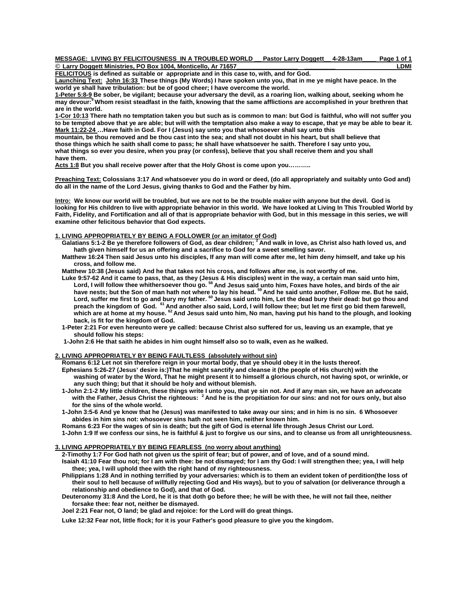### **MESSAGE: LIVING BY FELICITOUSNESS IN A TROUBLED WORLD \_\_ Pastor Larry Doggett\_\_ 4-28-13am\_\_\_\_ Page 1 of 1 © Larry Doggett Ministries, PO Box 1004, Monticello, Ar 71657\_\_\_\_\_\_\_\_\_\_\_\_\_\_\_\_\_\_ \_\_\_\_\_\_\_\_\_ LDMI**

**FELICITOUS is defined as suitable or appropriate and in this case to, with, and for God.** 

**Launching Text: John 16:33 These things (My Words) I have spoken unto you, that in me ye might have peace. In the world ye shall have tribulation: but be of good cheer; I have overcome the world.** 

**1-Peter 5:8-9 Be sober, be vigilant; because your adversary the devil, as a roaring lion, walking about, seeking whom he may devour:9 Whom resist steadfast in the faith, knowing that the same afflictions are accomplished in your brethren that are in the world.**

**1-Cor 10:13 There hath no temptation taken you but such as is common to man: but God is faithful, who will not suffer you to be tempted above that ye are able; but will with the temptation also make a way to escape, that ye may be able to bear it. Mark 11:22-24 …Have faith in God. For I (Jesus) say unto you that whosoever shall say unto this** 

**mountain, be thou removed and be thou cast into the sea; and shall not doubt in his heart, but shall believe that those things which he saith shall come to pass; he shall have whatsoever he saith. Therefore I say unto you, what things so ever you desire, when you pray (or confess), believe that you shall receive them and you shall have them.** 

**Acts 1:8 But you shall receive power after that the Holy Ghost is come upon you………..** 

**Preaching Text: Colossians 3:17 And whatsoever you do in word or deed, (do all appropriately and suitably unto God and) do all in the name of the Lord Jesus, giving thanks to God and the Father by him.** 

**Intro: We know our world will be troubled, but we are not to be the trouble maker with anyone but the devil. God is looking for His children to live with appropriate behavior in this world. We have looked at Living In This Troubled World by Faith, Fidelity, and Fortification and all of that is appropriate behavior with God, but in this message in this series, we will examine other felicitous behavior that God expects.** 

# **1. LIVING APPROPRIATELY BY BEING A FOLLOWER (or an imitator of God)**

- **Galatians 5:1-2 Be ye therefore followers of God, as dear children; 2 And walk in love, as Christ also hath loved us, and hath given himself for us an offering and a sacrifice to God for a sweet smelling savor.**
- **Matthew 16:24 Then said Jesus unto his disciples, If any man will come after me, let him deny himself, and take up his cross, and follow me.**

 **Matthew 10:38 (Jesus said) And he that takes not his cross, and follows after me, is not worthy of me.** 

- **Luke 9:57-62 And it came to pass, that, as they (Jesus & His disciples) went in the way, a certain man said unto him, Lord, I will follow thee whithersoever thou go. 58 And Jesus said unto him, Foxes have holes, and birds of the air have nests; but the Son of man hath not where to lay his head. 59 And he said unto another, Follow me. But he said, Lord, suffer me first to go and bury my father. 60 Jesus said unto him, Let the dead bury their dead: but go thou and preach the kingdom of God. 61 And another also said, Lord, I will follow thee; but let me first go bid them farewell, which are at home at my house. 62 And Jesus said unto him, No man, having put his hand to the plough, and looking back, is fit for the kingdom of God.** 
	- **1-Peter 2:21 For even hereunto were ye called: because Christ also suffered for us, leaving us an example, that ye should follow his steps:**
	- **1-John 2:6 He that saith he abides in him ought himself also so to walk, even as he walked.**

#### **2. LIVING APPROPRIATELY BY BEING FAULTLESS (absolutely without sin)**

 **Romans 6:12 Let not sin therefore reign in your mortal body, that ye should obey it in the lusts thereof. Ephesians 5:26-27 (Jesus' desire is:)That he might sanctify and cleanse it (the people of His church) with the washing of water by the Word, That he might present it to himself a glorious church, not having spot, or wrinkle, or** 

- **any such thing; but that it should be holy and without blemish. 1-John 2:1-2 My little children, these things write I unto you, that ye sin not. And if any man sin, we have an advocate with the Father, Jesus Christ the righteous: 2 And he is the propitiation for our sins: and not for ours only, but also for the sins of the whole world.**
- **1-John 3:5-6 And ye know that he (Jesus) was manifested to take away our sins; and in him is no sin. 6 Whosoever abides in him sins not: whosoever sins hath not seen him, neither known him.**
- **Romans 6:23 For the wages of sin is death; but the gift of God is eternal life through Jesus Christ our Lord.**

 **1-John 1:9 If we confess our sins, he is faithful & just to forgive us our sins, and to cleanse us from all unrighteousness.** 

## **3. LIVING APPROPRIATELY BY BEING FEARLESS (no worry about anything)**

 **2-Timothy 1:7 For God hath not given us the spirit of fear; but of power, and of love, and of a sound mind. Isaiah 41:10 Fear thou not; for I am with thee: be not dismayed; for I am thy God: I will strengthen thee; yea, I will help thee; yea, I will uphold thee with the right hand of my righteousness.** 

- **Philippians 1:28 And in nothing terrified by your adversaries: which is to them an evident token of perdition(the loss of their soul to hell because of willfully rejecting God and His ways), but to you of salvation (or deliverance through a relationship and obedience to God), and that of God.**
- **Deuteronomy 31:8 And the Lord, he it is that doth go before thee; he will be with thee, he will not fail thee, neither forsake thee: fear not, neither be dismayed.**
- **Joel 2:21 Fear not, O land; be glad and rejoice: for the Lord will do great things.**

 **Luke 12:32 Fear not, little flock; for it is your Father's good pleasure to give you the kingdom**.